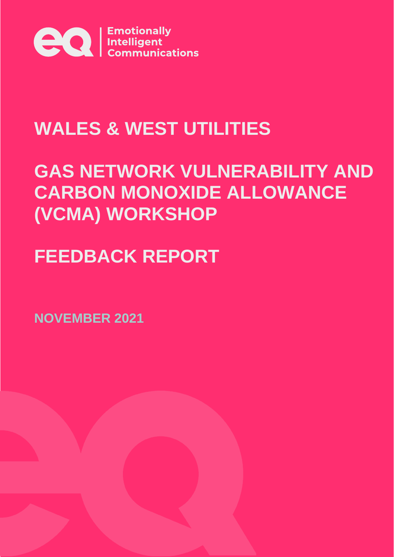

# **WALES & WEST UTILITIES**

# **GAS NETWORK VULNERABILITY AND CARBON MONOXIDE ALLOWANCE (VCMA) WORKSHOP**

# **FEEDBACK REPORT**

**NOVEMBER 2021**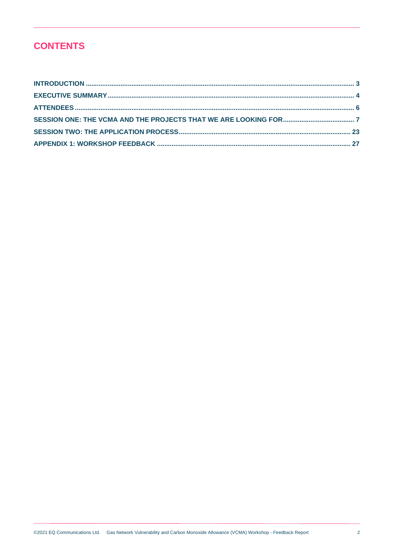# **CONTENTS**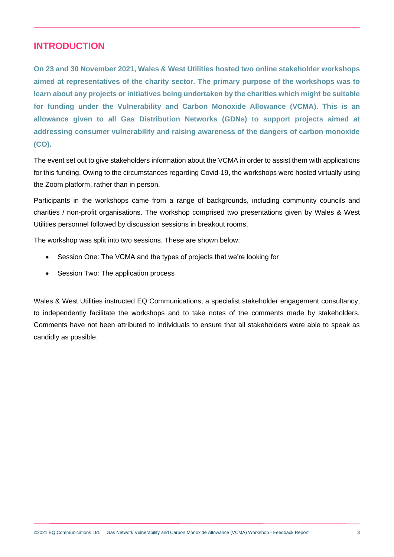## <span id="page-2-0"></span>**INTRODUCTION**

**On 23 and 30 November 2021, Wales & West Utilities hosted two online stakeholder workshops aimed at representatives of the charity sector. The primary purpose of the workshops was to learn about any projects or initiatives being undertaken by the charities which might be suitable for funding under the Vulnerability and Carbon Monoxide Allowance (VCMA). This is an allowance given to all Gas Distribution Networks (GDNs) to support projects aimed at addressing consumer vulnerability and raising awareness of the dangers of carbon monoxide (CO).** 

The event set out to give stakeholders information about the VCMA in order to assist them with applications for this funding. Owing to the circumstances regarding Covid-19, the workshops were hosted virtually using the Zoom platform, rather than in person.

Participants in the workshops came from a range of backgrounds, including community councils and charities / non-profit organisations. The workshop comprised two presentations given by Wales & West Utilities personnel followed by discussion sessions in breakout rooms.

The workshop was split into two sessions. These are shown below:

- Session One: The VCMA and the types of projects that we're looking for
- Session Two: The application process

Wales & West Utilities instructed EQ Communications, a specialist stakeholder engagement consultancy, to independently facilitate the workshops and to take notes of the comments made by stakeholders. Comments have not been attributed to individuals to ensure that all stakeholders were able to speak as candidly as possible.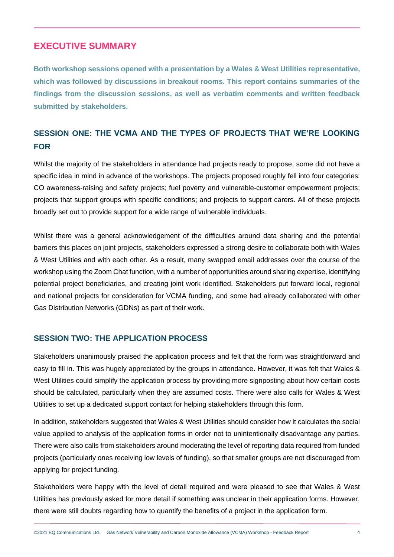## <span id="page-3-0"></span>**EXECUTIVE SUMMARY**

**Both workshop sessions opened with a presentation by a Wales & West Utilities representative, which was followed by discussions in breakout rooms. This report contains summaries of the findings from the discussion sessions, as well as verbatim comments and written feedback submitted by stakeholders.**

## **SESSION ONE: THE VCMA AND THE TYPES OF PROJECTS THAT WE'RE LOOKING FOR**

Whilst the majority of the stakeholders in attendance had projects ready to propose, some did not have a specific idea in mind in advance of the workshops. The projects proposed roughly fell into four categories: CO awareness-raising and safety projects; fuel poverty and vulnerable-customer empowerment projects; projects that support groups with specific conditions; and projects to support carers. All of these projects broadly set out to provide support for a wide range of vulnerable individuals.

Whilst there was a general acknowledgement of the difficulties around data sharing and the potential barriers this places on joint projects, stakeholders expressed a strong desire to collaborate both with Wales & West Utilities and with each other. As a result, many swapped email addresses over the course of the workshop using the Zoom Chat function, with a number of opportunities around sharing expertise, identifying potential project beneficiaries, and creating joint work identified. Stakeholders put forward local, regional and national projects for consideration for VCMA funding, and some had already collaborated with other Gas Distribution Networks (GDNs) as part of their work.

## **SESSION TWO: THE APPLICATION PROCESS**

Stakeholders unanimously praised the application process and felt that the form was straightforward and easy to fill in. This was hugely appreciated by the groups in attendance. However, it was felt that Wales & West Utilities could simplify the application process by providing more signposting about how certain costs should be calculated, particularly when they are assumed costs. There were also calls for Wales & West Utilities to set up a dedicated support contact for helping stakeholders through this form.

In addition, stakeholders suggested that Wales & West Utilities should consider how it calculates the social value applied to analysis of the application forms in order not to unintentionally disadvantage any parties. There were also calls from stakeholders around moderating the level of reporting data required from funded projects (particularly ones receiving low levels of funding), so that smaller groups are not discouraged from applying for project funding.

Stakeholders were happy with the level of detail required and were pleased to see that Wales & West Utilities has previously asked for more detail if something was unclear in their application forms. However, there were still doubts regarding how to quantify the benefits of a project in the application form.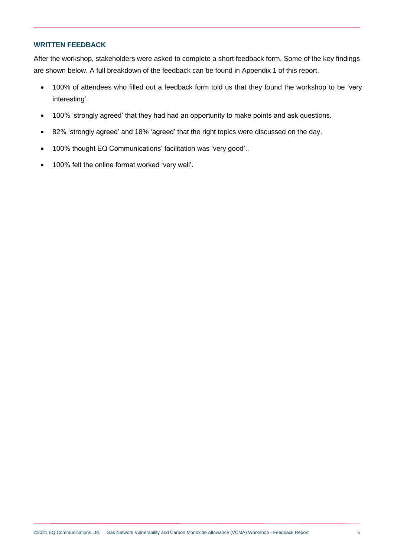#### **WRITTEN FEEDBACK**

After the workshop, stakeholders were asked to complete a short feedback form. Some of the key findings are shown below. A full breakdown of the feedback can be found in Appendix 1 of this report.

- 100% of attendees who filled out a feedback form told us that they found the workshop to be 'very interesting'.
- 100% 'strongly agreed' that they had had an opportunity to make points and ask questions.
- 82% 'strongly agreed' and 18% 'agreed' that the right topics were discussed on the day.
- 100% thought EQ Communications' facilitation was 'very good'..
- 100% felt the online format worked 'very well'.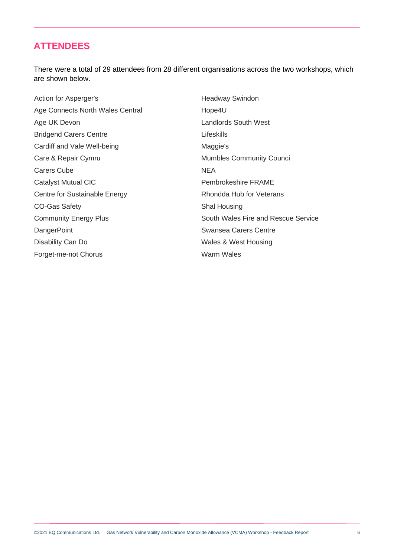## <span id="page-5-0"></span>**ATTENDEES**

There were a total of 29 attendees from 28 different organisations across the two workshops, which are shown below.

Action for Asperger's Age Connects North Wales Central Age UK Devon Bridgend Carers Centre Cardiff and Vale Well-being Care & Repair Cymru Carers Cube Catalyst Mutual CIC Centre for Sustainable Energy CO-Gas Safety Community Energy Plus **DangerPoint** Disability Can Do Forget-me-not Chorus

Headway Swindon Hope4U Landlords South West Lifeskills Maggie's Mumbles Community Counci **NEA** Pembrokeshire FRAME Rhondda Hub for Veterans Shal Housing South Wales Fire and Rescue Service Swansea Carers Centre Wales & West Housing Warm Wales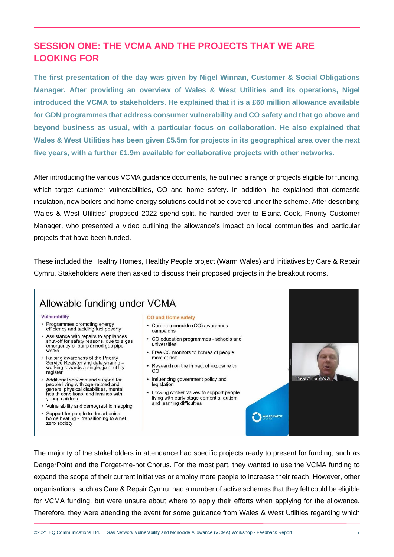# <span id="page-6-0"></span>**SESSION ONE: THE VCMA AND THE PROJECTS THAT WE ARE LOOKING FOR**

**The first presentation of the day was given by Nigel Winnan, Customer & Social Obligations Manager. After providing an overview of Wales & West Utilities and its operations, Nigel introduced the VCMA to stakeholders. He explained that it is a £60 million allowance available for GDN programmes that address consumer vulnerability and CO safety and that go above and beyond business as usual, with a particular focus on collaboration. He also explained that Wales & West Utilities has been given £5.5m for projects in its geographical area over the next five years, with a further £1.9m available for collaborative projects with other networks.**

After introducing the various VCMA guidance documents, he outlined a range of projects eligible for funding, which target customer vulnerabilities, CO and home safety. In addition, he explained that domestic insulation, new boilers and home energy solutions could not be covered under the scheme. After describing Wales & West Utilities' proposed 2022 spend split, he handed over to Elaina Cook, Priority Customer Manager, who presented a video outlining the allowance's impact on local communities and particular projects that have been funded.

These included the Healthy Homes, Healthy People project (Warm Wales) and initiatives by Care & Repair Cymru. Stakeholders were then asked to discuss their proposed projects in the breakout rooms.



The majority of the stakeholders in attendance had specific projects ready to present for funding, such as DangerPoint and the Forget-me-not Chorus. For the most part, they wanted to use the VCMA funding to expand the scope of their current initiatives or employ more people to increase their reach. However, other organisations, such as Care & Repair Cymru, had a number of active schemes that they felt could be eligible for VCMA funding, but were unsure about where to apply their efforts when applying for the allowance. Therefore, they were attending the event for some guidance from Wales & West Utilities regarding which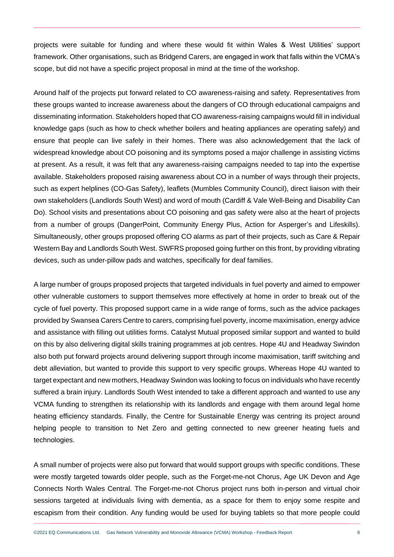projects were suitable for funding and where these would fit within Wales & West Utilities' support framework. Other organisations, such as Bridgend Carers, are engaged in work that falls within the VCMA's scope, but did not have a specific project proposal in mind at the time of the workshop.

Around half of the projects put forward related to CO awareness-raising and safety. Representatives from these groups wanted to increase awareness about the dangers of CO through educational campaigns and disseminating information. Stakeholders hoped that CO awareness-raising campaigns would fill in individual knowledge gaps (such as how to check whether boilers and heating appliances are operating safely) and ensure that people can live safely in their homes. There was also acknowledgement that the lack of widespread knowledge about CO poisoning and its symptoms posed a major challenge in assisting victims at present. As a result, it was felt that any awareness-raising campaigns needed to tap into the expertise available. Stakeholders proposed raising awareness about CO in a number of ways through their projects, such as expert helplines (CO-Gas Safety), leaflets (Mumbles Community Council), direct liaison with their own stakeholders (Landlords South West) and word of mouth (Cardiff & Vale Well-Being and Disability Can Do). School visits and presentations about CO poisoning and gas safety were also at the heart of projects from a number of groups (DangerPoint, Community Energy Plus, Action for Asperger's and Lifeskills). Simultaneously, other groups proposed offering CO alarms as part of their projects, such as Care & Repair Western Bay and Landlords South West. SWFRS proposed going further on this front, by providing vibrating devices, such as under-pillow pads and watches, specifically for deaf families.

A large number of groups proposed projects that targeted individuals in fuel poverty and aimed to empower other vulnerable customers to support themselves more effectively at home in order to break out of the cycle of fuel poverty. This proposed support came in a wide range of forms, such as the advice packages provided by Swansea Carers Centre to carers, comprising fuel poverty, income maximisation, energy advice and assistance with filling out utilities forms. Catalyst Mutual proposed similar support and wanted to build on this by also delivering digital skills training programmes at job centres. Hope 4U and Headway Swindon also both put forward projects around delivering support through income maximisation, tariff switching and debt alleviation, but wanted to provide this support to very specific groups. Whereas Hope 4U wanted to target expectant and new mothers, Headway Swindon was looking to focus on individuals who have recently suffered a brain injury. Landlords South West intended to take a different approach and wanted to use any VCMA funding to strengthen its relationship with its landlords and engage with them around legal home heating efficiency standards. Finally, the Centre for Sustainable Energy was centring its project around helping people to transition to Net Zero and getting connected to new greener heating fuels and technologies.

A small number of projects were also put forward that would support groups with specific conditions. These were mostly targeted towards older people, such as the Forget-me-not Chorus, Age UK Devon and Age Connects North Wales Central. The Forget-me-not Chorus project runs both in-person and virtual choir sessions targeted at individuals living with dementia, as a space for them to enjoy some respite and escapism from their condition. Any funding would be used for buying tablets so that more people could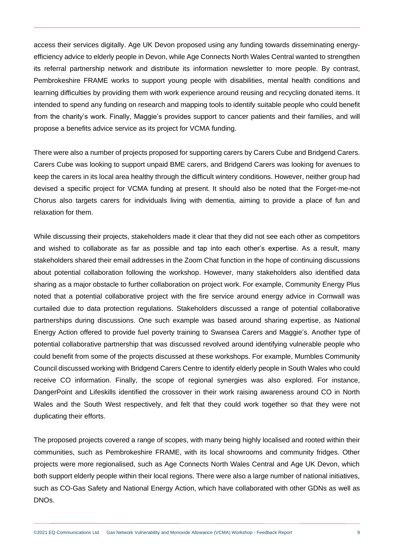access their services digitally. Age UK Devon proposed using any funding towards disseminating energyefficiency advice to elderly people in Devon, while Age Connects North Wales Central wanted to strengthen its referral partnership network and distribute its information newsletter to more people. By contrast, Pembrokeshire FRAME works to support young people with disabilities, mental health conditions and learning difficulties by providing them with work experience around reusing and recycling donated items. It intended to spend any funding on research and mapping tools to identify suitable people who could benefit from the charity's work. Finally, Maggie's provides support to cancer patients and their families, and will propose a benefits advice service as its project for VCMA funding.

There were also a number of projects proposed for supporting carers by Carers Cube and Bridgend Carers. Carers Cube was looking to support unpaid BME carers, and Bridgend Carers was looking for avenues to keep the carers in its local area healthy through the difficult wintery conditions. However, neither group had devised a specific project for VCMA funding at present. It should also be noted that the Forget-me-not Chorus also targets carers for individuals living with dementia, aiming to provide a place of fun and relaxation for them.

While discussing their projects, stakeholders made it clear that they did not see each other as competitors and wished to collaborate as far as possible and tap into each other's expertise. As a result, many stakeholders shared their email addresses in the Zoom Chat function in the hope of continuing discussions about potential collaboration following the workshop. However, many stakeholders also identified data sharing as a major obstacle to further collaboration on project work. For example, Community Energy Plus noted that a potential collaborative project with the fire service around energy advice in Cornwall was curtailed due to data protection regulations. Stakeholders discussed a range of potential collaborative partnerships during discussions. One such example was based around sharing expertise, as National Energy Action offered to provide fuel poverty training to Swansea Carers and Maggie's. Another type of potential collaborative partnership that was discussed revolved around identifying vulnerable people who could benefit from some of the projects discussed at these workshops. For example, Mumbles Community Council discussed working with Bridgend Carers Centre to identify elderly people in South Wales who could receive CO information. Finally, the scope of regional synergies was also explored. For instance, DangerPoint and Lifeskills identified the crossover in their work raising awareness around CO in North Wales and the South West respectively, and felt that they could work together so that they were not duplicating their efforts.

The proposed projects covered a range of scopes, with many being highly localised and rooted within their communities, such as Pembrokeshire FRAME, with its local showrooms and community fridges. Other projects were more regionalised, such as Age Connects North Wales Central and Age UK Devon, which both support elderly people within their local regions. There were also a large number of national initiatives, such as CO-Gas Safety and National Energy Action, which have collaborated with other GDNs as well as DNOs.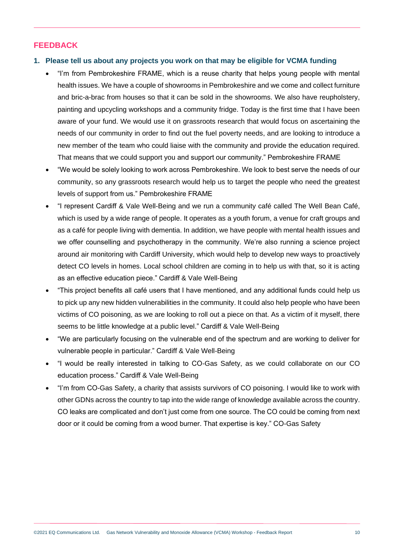## **FEEDBACK**

#### **1. Please tell us about any projects you work on that may be eligible for VCMA funding**

- "I'm from Pembrokeshire FRAME, which is a reuse charity that helps young people with mental health issues. We have a couple of showrooms in Pembrokeshire and we come and collect furniture and bric-a-brac from houses so that it can be sold in the showrooms. We also have reupholstery, painting and upcycling workshops and a community fridge. Today is the first time that I have been aware of your fund. We would use it on grassroots research that would focus on ascertaining the needs of our community in order to find out the fuel poverty needs, and are looking to introduce a new member of the team who could liaise with the community and provide the education required. That means that we could support you and support our community." Pembrokeshire FRAME
- "We would be solely looking to work across Pembrokeshire. We look to best serve the needs of our community, so any grassroots research would help us to target the people who need the greatest levels of support from us." Pembrokeshire FRAME
- "I represent Cardiff & Vale Well-Being and we run a community café called The Well Bean Café, which is used by a wide range of people. It operates as a youth forum, a venue for craft groups and as a café for people living with dementia. In addition, we have people with mental health issues and we offer counselling and psychotherapy in the community. We're also running a science project around air monitoring with Cardiff University, which would help to develop new ways to proactively detect CO levels in homes. Local school children are coming in to help us with that, so it is acting as an effective education piece." Cardiff & Vale Well-Being
- "This project benefits all café users that I have mentioned, and any additional funds could help us to pick up any new hidden vulnerabilities in the community. It could also help people who have been victims of CO poisoning, as we are looking to roll out a piece on that. As a victim of it myself, there seems to be little knowledge at a public level." Cardiff & Vale Well-Being
- "We are particularly focusing on the vulnerable end of the spectrum and are working to deliver for vulnerable people in particular." Cardiff & Vale Well-Being
- "I would be really interested in talking to CO-Gas Safety, as we could collaborate on our CO education process." Cardiff & Vale Well-Being
- "I'm from CO-Gas Safety, a charity that assists survivors of CO poisoning. I would like to work with other GDNs across the country to tap into the wide range of knowledge available across the country. CO leaks are complicated and don't just come from one source. The CO could be coming from next door or it could be coming from a wood burner. That expertise is key." CO-Gas Safety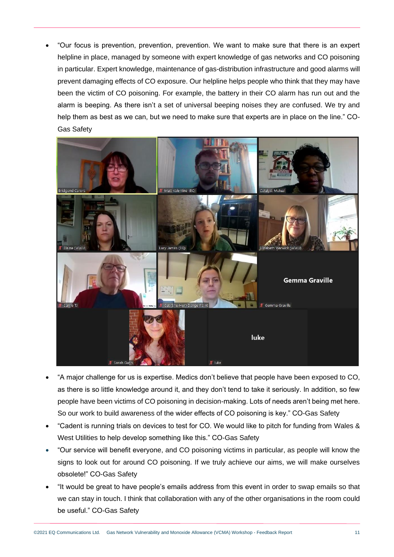• "Our focus is prevention, prevention, prevention. We want to make sure that there is an expert helpline in place, managed by someone with expert knowledge of gas networks and CO poisoning in particular. Expert knowledge, maintenance of gas-distribution infrastructure and good alarms will prevent damaging effects of CO exposure. Our helpline helps people who think that they may have been the victim of CO poisoning. For example, the battery in their CO alarm has run out and the alarm is beeping. As there isn't a set of universal beeping noises they are confused. We try and help them as best as we can, but we need to make sure that experts are in place on the line." CO-Gas Safety



- "A major challenge for us is expertise. Medics don't believe that people have been exposed to CO, as there is so little knowledge around it, and they don't tend to take it seriously. In addition, so few people have been victims of CO poisoning in decision-making. Lots of needs aren't being met here. So our work to build awareness of the wider effects of CO poisoning is key." CO-Gas Safety
- "Cadent is running trials on devices to test for CO. We would like to pitch for funding from Wales & West Utilities to help develop something like this." CO-Gas Safety
- "Our service will benefit everyone, and CO poisoning victims in particular, as people will know the signs to look out for around CO poisoning. If we truly achieve our aims, we will make ourselves obsolete!" CO-Gas Safety
- "It would be great to have people's emails address from this event in order to swap emails so that we can stay in touch. I think that collaboration with any of the other organisations in the room could be useful." CO-Gas Safety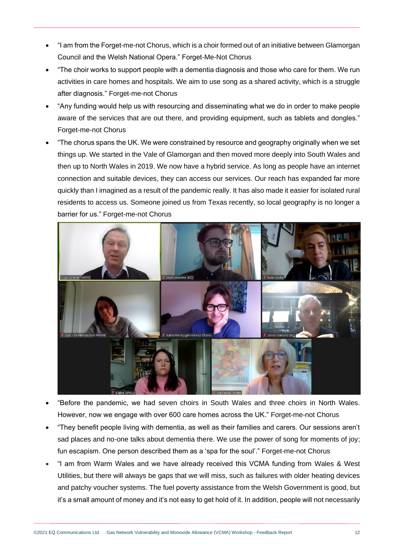- "I am from the Forget-me-not Chorus, which is a choir formed out of an initiative between Glamorgan Council and the Welsh National Opera." Forget-Me-Not Chorus
- "The choir works to support people with a dementia diagnosis and those who care for them. We run activities in care homes and hospitals. We aim to use song as a shared activity, which is a struggle after diagnosis." Forget-me-not Chorus
- "Any funding would help us with resourcing and disseminating what we do in order to make people aware of the services that are out there, and providing equipment, such as tablets and dongles." Forget-me-not Chorus
- "The chorus spans the UK. We were constrained by resource and geography originally when we set things up. We started in the Vale of Glamorgan and then moved more deeply into South Wales and then up to North Wales in 2019. We now have a hybrid service. As long as people have an internet connection and suitable devices, they can access our services. Our reach has expanded far more quickly than I imagined as a result of the pandemic really. It has also made it easier for isolated rural residents to access us. Someone joined us from Texas recently, so local geography is no longer a barrier for us." Forget-me-not Chorus



- "Before the pandemic, we had seven choirs in South Wales and three choirs in North Wales. However, now we engage with over 600 care homes across the UK." Forget-me-not Chorus
- "They benefit people living with dementia, as well as their families and carers. Our sessions aren't sad places and no-one talks about dementia there. We use the power of song for moments of joy; fun escapism. One person described them as a 'spa for the soul'." Forget-me-not Chorus
- "I am from Warm Wales and we have already received this VCMA funding from Wales & West Utilities, but there will always be gaps that we will miss, such as failures with older heating devices and patchy voucher systems. The fuel poverty assistance from the Welsh Government is good, but it's a small amount of money and it's not easy to get hold of it. In addition, people will not necessarily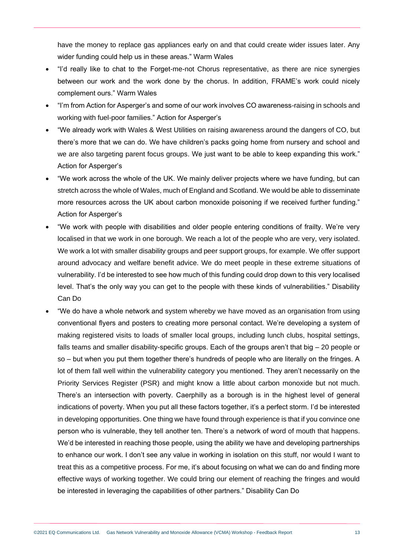have the money to replace gas appliances early on and that could create wider issues later. Any wider funding could help us in these areas." Warm Wales

- "I'd really like to chat to the Forget-me-not Chorus representative, as there are nice synergies between our work and the work done by the chorus. In addition, FRAME's work could nicely complement ours." Warm Wales
- "I'm from Action for Asperger's and some of our work involves CO awareness-raising in schools and working with fuel-poor families." Action for Asperger's
- "We already work with Wales & West Utilities on raising awareness around the dangers of CO, but there's more that we can do. We have children's packs going home from nursery and school and we are also targeting parent focus groups. We just want to be able to keep expanding this work." Action for Asperger's
- "We work across the whole of the UK. We mainly deliver projects where we have funding, but can stretch across the whole of Wales, much of England and Scotland. We would be able to disseminate more resources across the UK about carbon monoxide poisoning if we received further funding." Action for Asperger's
- "We work with people with disabilities and older people entering conditions of frailty. We're very localised in that we work in one borough. We reach a lot of the people who are very, very isolated. We work a lot with smaller disability groups and peer support groups, for example. We offer support around advocacy and welfare benefit advice. We do meet people in these extreme situations of vulnerability. I'd be interested to see how much of this funding could drop down to this very localised level. That's the only way you can get to the people with these kinds of vulnerabilities." Disability Can Do
- "We do have a whole network and system whereby we have moved as an organisation from using conventional flyers and posters to creating more personal contact. We're developing a system of making registered visits to loads of smaller local groups, including lunch clubs, hospital settings, falls teams and smaller disability-specific groups. Each of the groups aren't that big – 20 people or so – but when you put them together there's hundreds of people who are literally on the fringes. A lot of them fall well within the vulnerability category you mentioned. They aren't necessarily on the Priority Services Register (PSR) and might know a little about carbon monoxide but not much. There's an intersection with poverty. Caerphilly as a borough is in the highest level of general indications of poverty. When you put all these factors together, it's a perfect storm. I'd be interested in developing opportunities. One thing we have found through experience is that if you convince one person who is vulnerable, they tell another ten. There's a network of word of mouth that happens. We'd be interested in reaching those people, using the ability we have and developing partnerships to enhance our work. I don't see any value in working in isolation on this stuff, nor would I want to treat this as a competitive process. For me, it's about focusing on what we can do and finding more effective ways of working together. We could bring our element of reaching the fringes and would be interested in leveraging the capabilities of other partners." Disability Can Do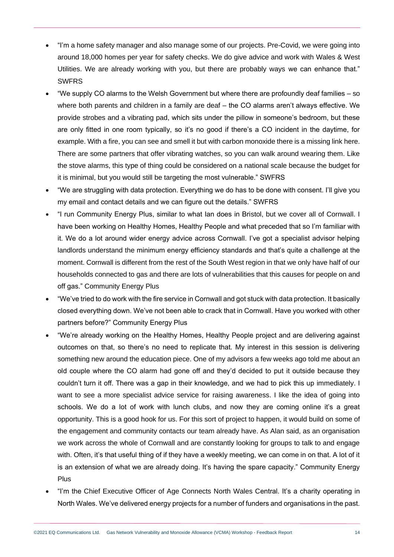- "I'm a home safety manager and also manage some of our projects. Pre-Covid, we were going into around 18,000 homes per year for safety checks. We do give advice and work with Wales & West Utilities. We are already working with you, but there are probably ways we can enhance that." SWFRS
- "We supply CO alarms to the Welsh Government but where there are profoundly deaf families so where both parents and children in a family are deaf – the CO alarms aren't always effective. We provide strobes and a vibrating pad, which sits under the pillow in someone's bedroom, but these are only fitted in one room typically, so it's no good if there's a CO incident in the daytime, for example. With a fire, you can see and smell it but with carbon monoxide there is a missing link here. There are some partners that offer vibrating watches, so you can walk around wearing them. Like the stove alarms, this type of thing could be considered on a national scale because the budget for it is minimal, but you would still be targeting the most vulnerable." SWFRS
- "We are struggling with data protection. Everything we do has to be done with consent. I'll give you my email and contact details and we can figure out the details." SWFRS
- "I run Community Energy Plus, similar to what Ian does in Bristol, but we cover all of Cornwall. I have been working on Healthy Homes, Healthy People and what preceded that so I'm familiar with it. We do a lot around wider energy advice across Cornwall. I've got a specialist advisor helping landlords understand the minimum energy efficiency standards and that's quite a challenge at the moment. Cornwall is different from the rest of the South West region in that we only have half of our households connected to gas and there are lots of vulnerabilities that this causes for people on and off gas." Community Energy Plus
- "We've tried to do work with the fire service in Cornwall and got stuck with data protection. It basically closed everything down. We've not been able to crack that in Cornwall. Have you worked with other partners before?" Community Energy Plus
- "We're already working on the Healthy Homes, Healthy People project and are delivering against outcomes on that, so there's no need to replicate that. My interest in this session is delivering something new around the education piece. One of my advisors a few weeks ago told me about an old couple where the CO alarm had gone off and they'd decided to put it outside because they couldn't turn it off. There was a gap in their knowledge, and we had to pick this up immediately. I want to see a more specialist advice service for raising awareness. I like the idea of going into schools. We do a lot of work with lunch clubs, and now they are coming online it's a great opportunity. This is a good hook for us. For this sort of project to happen, it would build on some of the engagement and community contacts our team already have. As Alan said, as an organisation we work across the whole of Cornwall and are constantly looking for groups to talk to and engage with. Often, it's that useful thing of if they have a weekly meeting, we can come in on that. A lot of it is an extension of what we are already doing. It's having the spare capacity." Community Energy Plus
- "I'm the Chief Executive Officer of Age Connects North Wales Central. It's a charity operating in North Wales. We've delivered energy projects for a number of funders and organisations in the past.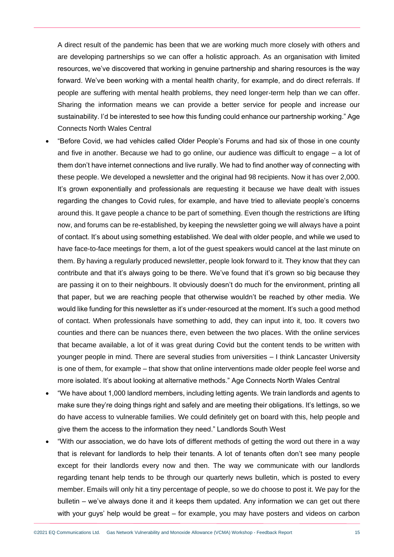A direct result of the pandemic has been that we are working much more closely with others and are developing partnerships so we can offer a holistic approach. As an organisation with limited resources, we've discovered that working in genuine partnership and sharing resources is the way forward. We've been working with a mental health charity, for example, and do direct referrals. If people are suffering with mental health problems, they need longer-term help than we can offer. Sharing the information means we can provide a better service for people and increase our sustainability. I'd be interested to see how this funding could enhance our partnership working." Age Connects North Wales Central

- "Before Covid, we had vehicles called Older People's Forums and had six of those in one county and five in another. Because we had to go online, our audience was difficult to engage – a lot of them don't have internet connections and live rurally. We had to find another way of connecting with these people. We developed a newsletter and the original had 98 recipients. Now it has over 2,000. It's grown exponentially and professionals are requesting it because we have dealt with issues regarding the changes to Covid rules, for example, and have tried to alleviate people's concerns around this. It gave people a chance to be part of something. Even though the restrictions are lifting now, and forums can be re-established, by keeping the newsletter going we will always have a point of contact. It's about using something established. We deal with older people, and while we used to have face-to-face meetings for them, a lot of the guest speakers would cancel at the last minute on them. By having a regularly produced newsletter, people look forward to it. They know that they can contribute and that it's always going to be there. We've found that it's grown so big because they are passing it on to their neighbours. It obviously doesn't do much for the environment, printing all that paper, but we are reaching people that otherwise wouldn't be reached by other media. We would like funding for this newsletter as it's under-resourced at the moment. It's such a good method of contact. When professionals have something to add, they can input into it, too. It covers two counties and there can be nuances there, even between the two places. With the online services that became available, a lot of it was great during Covid but the content tends to be written with younger people in mind. There are several studies from universities – I think Lancaster University is one of them, for example – that show that online interventions made older people feel worse and more isolated. It's about looking at alternative methods." Age Connects North Wales Central
- "We have about 1,000 landlord members, including letting agents. We train landlords and agents to make sure they're doing things right and safely and are meeting their obligations. It's lettings, so we do have access to vulnerable families. We could definitely get on board with this, help people and give them the access to the information they need." Landlords South West
- "With our association, we do have lots of different methods of getting the word out there in a way that is relevant for landlords to help their tenants. A lot of tenants often don't see many people except for their landlords every now and then. The way we communicate with our landlords regarding tenant help tends to be through our quarterly news bulletin, which is posted to every member. Emails will only hit a tiny percentage of people, so we do choose to post it. We pay for the bulletin – we've always done it and it keeps them updated. Any information we can get out there with your guys' help would be great – for example, you may have posters and videos on carbon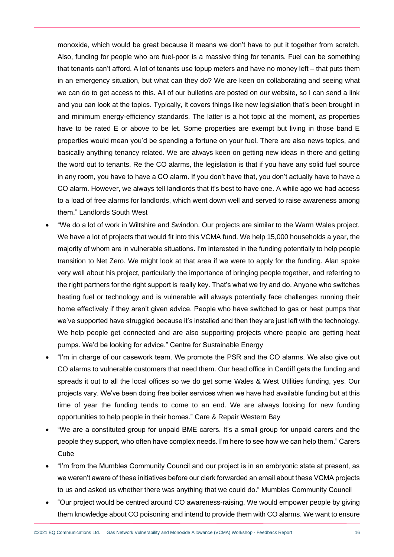monoxide, which would be great because it means we don't have to put it together from scratch. Also, funding for people who are fuel-poor is a massive thing for tenants. Fuel can be something that tenants can't afford. A lot of tenants use topup meters and have no money left – that puts them in an emergency situation, but what can they do? We are keen on collaborating and seeing what we can do to get access to this. All of our bulletins are posted on our website, so I can send a link and you can look at the topics. Typically, it covers things like new legislation that's been brought in and minimum energy-efficiency standards. The latter is a hot topic at the moment, as properties have to be rated E or above to be let. Some properties are exempt but living in those band E properties would mean you'd be spending a fortune on your fuel. There are also news topics, and basically anything tenancy related. We are always keen on getting new ideas in there and getting the word out to tenants. Re the CO alarms, the legislation is that if you have any solid fuel source in any room, you have to have a CO alarm. If you don't have that, you don't actually have to have a CO alarm. However, we always tell landlords that it's best to have one. A while ago we had access to a load of free alarms for landlords, which went down well and served to raise awareness among them." Landlords South West

- "We do a lot of work in Wiltshire and Swindon. Our projects are similar to the Warm Wales project. We have a lot of projects that would fit into this VCMA fund. We help 15,000 households a year, the majority of whom are in vulnerable situations. I'm interested in the funding potentially to help people transition to Net Zero. We might look at that area if we were to apply for the funding. Alan spoke very well about his project, particularly the importance of bringing people together, and referring to the right partners for the right support is really key. That's what we try and do. Anyone who switches heating fuel or technology and is vulnerable will always potentially face challenges running their home effectively if they aren't given advice. People who have switched to gas or heat pumps that we've supported have struggled because it's installed and then they are just left with the technology. We help people get connected and are also supporting projects where people are getting heat pumps. We'd be looking for advice." Centre for Sustainable Energy
- "I'm in charge of our casework team. We promote the PSR and the CO alarms. We also give out CO alarms to vulnerable customers that need them. Our head office in Cardiff gets the funding and spreads it out to all the local offices so we do get some Wales & West Utilities funding, yes. Our projects vary. We've been doing free boiler services when we have had available funding but at this time of year the funding tends to come to an end. We are always looking for new funding opportunities to help people in their homes." Care & Repair Western Bay
- "We are a constituted group for unpaid BME carers. It's a small group for unpaid carers and the people they support, who often have complex needs. I'm here to see how we can help them." Carers **Cube**
- "I'm from the Mumbles Community Council and our project is in an embryonic state at present, as we weren't aware of these initiatives before our clerk forwarded an email about these VCMA projects to us and asked us whether there was anything that we could do." Mumbles Community Council
- "Our project would be centred around CO awareness-raising. We would empower people by giving them knowledge about CO poisoning and intend to provide them with CO alarms. We want to ensure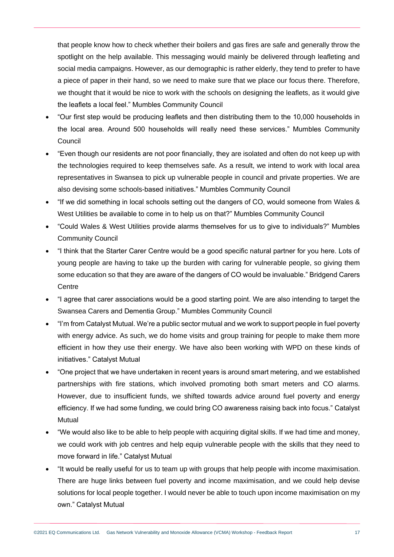that people know how to check whether their boilers and gas fires are safe and generally throw the spotlight on the help available. This messaging would mainly be delivered through leafleting and social media campaigns. However, as our demographic is rather elderly, they tend to prefer to have a piece of paper in their hand, so we need to make sure that we place our focus there. Therefore, we thought that it would be nice to work with the schools on designing the leaflets, as it would give the leaflets a local feel." Mumbles Community Council

- "Our first step would be producing leaflets and then distributing them to the 10,000 households in the local area. Around 500 households will really need these services." Mumbles Community **Council**
- "Even though our residents are not poor financially, they are isolated and often do not keep up with the technologies required to keep themselves safe. As a result, we intend to work with local area representatives in Swansea to pick up vulnerable people in council and private properties. We are also devising some schools-based initiatives." Mumbles Community Council
- "If we did something in local schools setting out the dangers of CO, would someone from Wales & West Utilities be available to come in to help us on that?" Mumbles Community Council
- "Could Wales & West Utilities provide alarms themselves for us to give to individuals?" Mumbles Community Council
- "I think that the Starter Carer Centre would be a good specific natural partner for you here. Lots of young people are having to take up the burden with caring for vulnerable people, so giving them some education so that they are aware of the dangers of CO would be invaluable." Bridgend Carers **Centre**
- "I agree that carer associations would be a good starting point. We are also intending to target the Swansea Carers and Dementia Group." Mumbles Community Council
- "I'm from Catalyst Mutual. We're a public sector mutual and we work to support people in fuel poverty with energy advice. As such, we do home visits and group training for people to make them more efficient in how they use their energy. We have also been working with WPD on these kinds of initiatives." Catalyst Mutual
- "One project that we have undertaken in recent years is around smart metering, and we established partnerships with fire stations, which involved promoting both smart meters and CO alarms. However, due to insufficient funds, we shifted towards advice around fuel poverty and energy efficiency. If we had some funding, we could bring CO awareness raising back into focus." Catalyst **Mutual**
- "We would also like to be able to help people with acquiring digital skills. If we had time and money, we could work with job centres and help equip vulnerable people with the skills that they need to move forward in life." Catalyst Mutual
- "It would be really useful for us to team up with groups that help people with income maximisation. There are huge links between fuel poverty and income maximisation, and we could help devise solutions for local people together. I would never be able to touch upon income maximisation on my own." Catalyst Mutual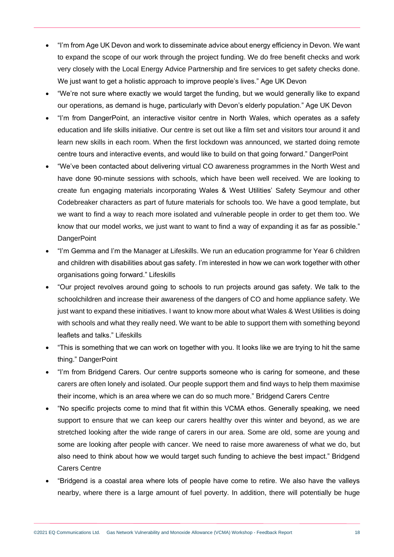- "I'm from Age UK Devon and work to disseminate advice about energy efficiency in Devon. We want to expand the scope of our work through the project funding. We do free benefit checks and work very closely with the Local Energy Advice Partnership and fire services to get safety checks done. We just want to get a holistic approach to improve people's lives." Age UK Devon
- "We're not sure where exactly we would target the funding, but we would generally like to expand our operations, as demand is huge, particularly with Devon's elderly population." Age UK Devon
- "I'm from DangerPoint, an interactive visitor centre in North Wales, which operates as a safety education and life skills initiative. Our centre is set out like a film set and visitors tour around it and learn new skills in each room. When the first lockdown was announced, we started doing remote centre tours and interactive events, and would like to build on that going forward." DangerPoint
- "We've been contacted about delivering virtual CO awareness programmes in the North West and have done 90-minute sessions with schools, which have been well received. We are looking to create fun engaging materials incorporating Wales & West Utilities' Safety Seymour and other Codebreaker characters as part of future materials for schools too. We have a good template, but we want to find a way to reach more isolated and vulnerable people in order to get them too. We know that our model works, we just want to want to find a way of expanding it as far as possible." **DangerPoint**
- "I'm Gemma and I'm the Manager at Lifeskills. We run an education programme for Year 6 children and children with disabilities about gas safety. I'm interested in how we can work together with other organisations going forward." Lifeskills
- "Our project revolves around going to schools to run projects around gas safety. We talk to the schoolchildren and increase their awareness of the dangers of CO and home appliance safety. We just want to expand these initiatives. I want to know more about what Wales & West Utilities is doing with schools and what they really need. We want to be able to support them with something beyond leaflets and talks." Lifeskills
- "This is something that we can work on together with you. It looks like we are trying to hit the same thing." DangerPoint
- "I'm from Bridgend Carers. Our centre supports someone who is caring for someone, and these carers are often lonely and isolated. Our people support them and find ways to help them maximise their income, which is an area where we can do so much more." Bridgend Carers Centre
- "No specific projects come to mind that fit within this VCMA ethos. Generally speaking, we need support to ensure that we can keep our carers healthy over this winter and beyond, as we are stretched looking after the wide range of carers in our area. Some are old, some are young and some are looking after people with cancer. We need to raise more awareness of what we do, but also need to think about how we would target such funding to achieve the best impact." Bridgend Carers Centre
- "Bridgend is a coastal area where lots of people have come to retire. We also have the valleys nearby, where there is a large amount of fuel poverty. In addition, there will potentially be huge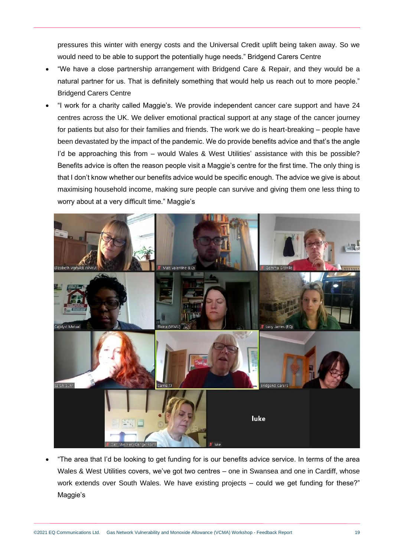pressures this winter with energy costs and the Universal Credit uplift being taken away. So we would need to be able to support the potentially huge needs." Bridgend Carers Centre

- "We have a close partnership arrangement with Bridgend Care & Repair, and they would be a natural partner for us. That is definitely something that would help us reach out to more people." Bridgend Carers Centre
- "I work for a charity called Maggie's. We provide independent cancer care support and have 24 centres across the UK. We deliver emotional practical support at any stage of the cancer journey for patients but also for their families and friends. The work we do is heart-breaking – people have been devastated by the impact of the pandemic. We do provide benefits advice and that's the angle I'd be approaching this from – would Wales & West Utilities' assistance with this be possible? Benefits advice is often the reason people visit a Maggie's centre for the first time. The only thing is that I don't know whether our benefits advice would be specific enough. The advice we give is about maximising household income, making sure people can survive and giving them one less thing to worry about at a very difficult time." Maggie's



• "The area that I'd be looking to get funding for is our benefits advice service. In terms of the area Wales & West Utilities covers, we've got two centres – one in Swansea and one in Cardiff, whose work extends over South Wales. We have existing projects – could we get funding for these?" Maggie's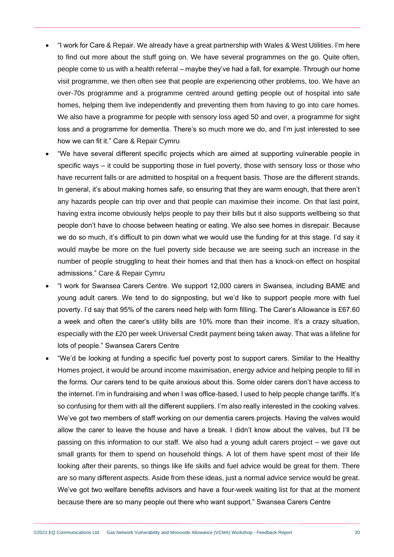- "I work for Care & Repair. We already have a great partnership with Wales & West Utilities. I'm here to find out more about the stuff going on. We have several programmes on the go. Quite often, people come to us with a health referral – maybe they've had a fall, for example. Through our home visit programme, we then often see that people are experiencing other problems, too. We have an over-70s programme and a programme centred around getting people out of hospital into safe homes, helping them live independently and preventing them from having to go into care homes. We also have a programme for people with sensory loss aged 50 and over, a programme for sight loss and a programme for dementia. There's so much more we do, and I'm just interested to see how we can fit it." Care & Repair Cymru
- "We have several different specific projects which are aimed at supporting vulnerable people in specific ways – it could be supporting those in fuel poverty, those with sensory loss or those who have recurrent falls or are admitted to hospital on a frequent basis. Those are the different strands. In general, it's about making homes safe, so ensuring that they are warm enough, that there aren't any hazards people can trip over and that people can maximise their income. On that last point, having extra income obviously helps people to pay their bills but it also supports wellbeing so that people don't have to choose between heating or eating. We also see homes in disrepair. Because we do so much, it's difficult to pin down what we would use the funding for at this stage. I'd say it would maybe be more on the fuel poverty side because we are seeing such an increase in the number of people struggling to heat their homes and that then has a knock-on effect on hospital admissions." Care & Repair Cymru
- "I work for Swansea Carers Centre. We support 12,000 carers in Swansea, including BAME and young adult carers. We tend to do signposting, but we'd like to support people more with fuel poverty. I'd say that 95% of the carers need help with form filling. The Carer's Allowance is £67.60 a week and often the carer's utility bills are 10% more than their income. It's a crazy situation, especially with the £20 per week Universal Credit payment being taken away. That was a lifeline for lots of people." Swansea Carers Centre
- "We'd be looking at funding a specific fuel poverty post to support carers. Similar to the Healthy Homes project, it would be around income maximisation, energy advice and helping people to fill in the forms. Our carers tend to be quite anxious about this. Some older carers don't have access to the internet. I'm in fundraising and when I was office-based, I used to help people change tariffs. It's so confusing for them with all the different suppliers. I'm also really interested in the cooking valves. We've got two members of staff working on our dementia carers projects. Having the valves would allow the carer to leave the house and have a break. I didn't know about the valves, but I'll be passing on this information to our staff. We also had a young adult carers project – we gave out small grants for them to spend on household things. A lot of them have spent most of their life looking after their parents, so things like life skills and fuel advice would be great for them. There are so many different aspects. Aside from these ideas, just a normal advice service would be great. We've got two welfare benefits advisors and have a four-week waiting list for that at the moment because there are so many people out there who want support." Swansea Carers Centre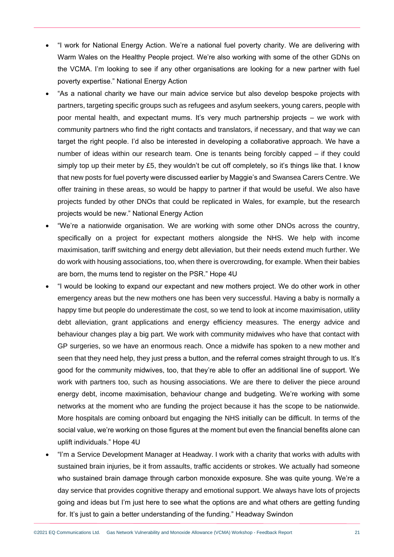- "I work for National Energy Action. We're a national fuel poverty charity. We are delivering with Warm Wales on the Healthy People project. We're also working with some of the other GDNs on the VCMA. I'm looking to see if any other organisations are looking for a new partner with fuel poverty expertise." National Energy Action
- "As a national charity we have our main advice service but also develop bespoke projects with partners, targeting specific groups such as refugees and asylum seekers, young carers, people with poor mental health, and expectant mums. It's very much partnership projects – we work with community partners who find the right contacts and translators, if necessary, and that way we can target the right people. I'd also be interested in developing a collaborative approach. We have a number of ideas within our research team. One is tenants being forcibly capped – if they could simply top up their meter by £5, they wouldn't be cut off completely, so it's things like that. I know that new posts for fuel poverty were discussed earlier by Maggie's and Swansea Carers Centre. We offer training in these areas, so would be happy to partner if that would be useful. We also have projects funded by other DNOs that could be replicated in Wales, for example, but the research projects would be new." National Energy Action
- "We're a nationwide organisation. We are working with some other DNOs across the country, specifically on a project for expectant mothers alongside the NHS. We help with income maximisation, tariff switching and energy debt alleviation, but their needs extend much further. We do work with housing associations, too, when there is overcrowding, for example. When their babies are born, the mums tend to register on the PSR." Hope 4U
- "I would be looking to expand our expectant and new mothers project. We do other work in other emergency areas but the new mothers one has been very successful. Having a baby is normally a happy time but people do underestimate the cost, so we tend to look at income maximisation, utility debt alleviation, grant applications and energy efficiency measures. The energy advice and behaviour changes play a big part. We work with community midwives who have that contact with GP surgeries, so we have an enormous reach. Once a midwife has spoken to a new mother and seen that they need help, they just press a button, and the referral comes straight through to us. It's good for the community midwives, too, that they're able to offer an additional line of support. We work with partners too, such as housing associations. We are there to deliver the piece around energy debt, income maximisation, behaviour change and budgeting. We're working with some networks at the moment who are funding the project because it has the scope to be nationwide. More hospitals are coming onboard but engaging the NHS initially can be difficult. In terms of the social value, we're working on those figures at the moment but even the financial benefits alone can uplift individuals." Hope 4U
- "I'm a Service Development Manager at Headway. I work with a charity that works with adults with sustained brain injuries, be it from assaults, traffic accidents or strokes. We actually had someone who sustained brain damage through carbon monoxide exposure. She was quite young. We're a day service that provides cognitive therapy and emotional support. We always have lots of projects going and ideas but I'm just here to see what the options are and what others are getting funding for. It's just to gain a better understanding of the funding." Headway Swindon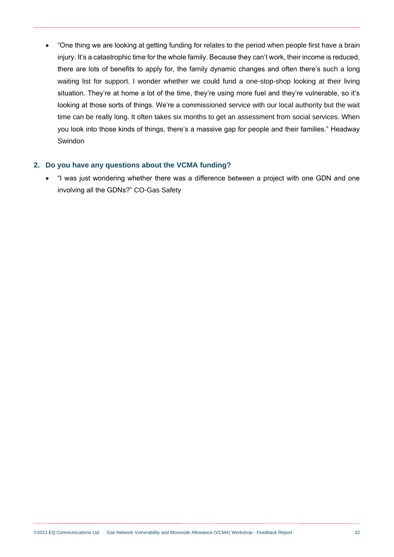• "One thing we are looking at getting funding for relates to the period when people first have a brain injury. It's a catastrophic time for the whole family. Because they can't work, their income is reduced, there are lots of benefits to apply for, the family dynamic changes and often there's such a long waiting list for support. I wonder whether we could fund a one-stop-shop looking at their living situation. They're at home a lot of the time, they're using more fuel and they're vulnerable, so it's looking at those sorts of things. We're a commissioned service with our local authority but the wait time can be really long. It often takes six months to get an assessment from social services. When you look into those kinds of things, there's a massive gap for people and their families." Headway Swindon

### **2. Do you have any questions about the VCMA funding?**

• "I was just wondering whether there was a difference between a project with one GDN and one involving all the GDNs?" CO-Gas Safety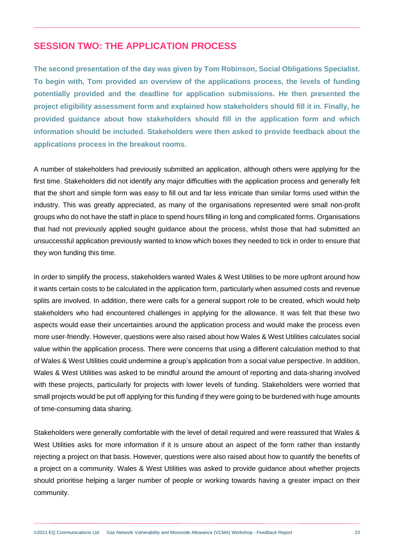## <span id="page-22-0"></span>**SESSION TWO: THE APPLICATION PROCESS**

**The second presentation of the day was given by Tom Robinson, Social Obligations Specialist. To begin with, Tom provided an overview of the applications process, the levels of funding potentially provided and the deadline for application submissions. He then presented the project eligibility assessment form and explained how stakeholders should fill it in. Finally, he provided guidance about how stakeholders should fill in the application form and which information should be included. Stakeholders were then asked to provide feedback about the applications process in the breakout rooms.**

A number of stakeholders had previously submitted an application, although others were applying for the first time. Stakeholders did not identify any major difficulties with the application process and generally felt that the short and simple form was easy to fill out and far less intricate than similar forms used within the industry. This was greatly appreciated, as many of the organisations represented were small non-profit groups who do not have the staff in place to spend hours filling in long and complicated forms. Organisations that had not previously applied sought guidance about the process, whilst those that had submitted an unsuccessful application previously wanted to know which boxes they needed to tick in order to ensure that they won funding this time.

In order to simplify the process, stakeholders wanted Wales & West Utilities to be more upfront around how it wants certain costs to be calculated in the application form, particularly when assumed costs and revenue splits are involved. In addition, there were calls for a general support role to be created, which would help stakeholders who had encountered challenges in applying for the allowance. It was felt that these two aspects would ease their uncertainties around the application process and would make the process even more user-friendly. However, questions were also raised about how Wales & West Utilities calculates social value within the application process. There were concerns that using a different calculation method to that of Wales & West Utilities could undermine a group's application from a social value perspective. In addition, Wales & West Utilities was asked to be mindful around the amount of reporting and data-sharing involved with these projects, particularly for projects with lower levels of funding. Stakeholders were worried that small projects would be put off applying for this funding if they were going to be burdened with huge amounts of time-consuming data sharing.

Stakeholders were generally comfortable with the level of detail required and were reassured that Wales & West Utilities asks for more information if it is unsure about an aspect of the form rather than instantly rejecting a project on that basis. However, questions were also raised about how to quantify the benefits of a project on a community. Wales & West Utilities was asked to provide guidance about whether projects should prioritise helping a larger number of people or working towards having a greater impact on their community.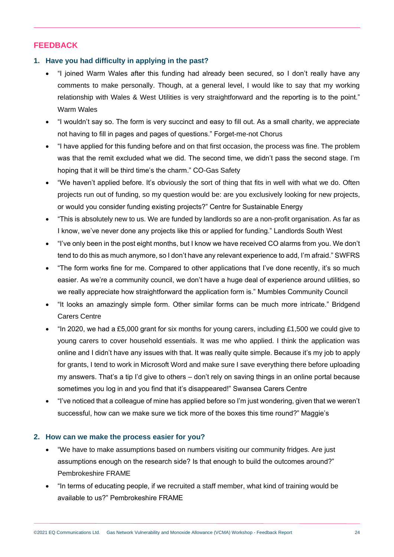## **FEEDBACK**

### **1. Have you had difficulty in applying in the past?**

- "I joined Warm Wales after this funding had already been secured, so I don't really have any comments to make personally. Though, at a general level, I would like to say that my working relationship with Wales & West Utilities is very straightforward and the reporting is to the point." Warm Wales
- "I wouldn't say so. The form is very succinct and easy to fill out. As a small charity, we appreciate not having to fill in pages and pages of questions." Forget-me-not Chorus
- "I have applied for this funding before and on that first occasion, the process was fine. The problem was that the remit excluded what we did. The second time, we didn't pass the second stage. I'm hoping that it will be third time's the charm." CO-Gas Safety
- "We haven't applied before. It's obviously the sort of thing that fits in well with what we do. Often projects run out of funding, so my question would be: are you exclusively looking for new projects, or would you consider funding existing projects?" Centre for Sustainable Energy
- "This is absolutely new to us. We are funded by landlords so are a non-profit organisation. As far as I know, we've never done any projects like this or applied for funding." Landlords South West
- "I've only been in the post eight months, but I know we have received CO alarms from you. We don't tend to do this as much anymore, so I don't have any relevant experience to add, I'm afraid." SWFRS
- "The form works fine for me. Compared to other applications that I've done recently, it's so much easier. As we're a community council, we don't have a huge deal of experience around utilities, so we really appreciate how straightforward the application form is." Mumbles Community Council
- "It looks an amazingly simple form. Other similar forms can be much more intricate." Bridgend Carers Centre
- "In 2020, we had a £5,000 grant for six months for young carers, including £1,500 we could give to young carers to cover household essentials. It was me who applied. I think the application was online and I didn't have any issues with that. It was really quite simple. Because it's my job to apply for grants, I tend to work in Microsoft Word and make sure I save everything there before uploading my answers. That's a tip I'd give to others – don't rely on saving things in an online portal because sometimes you log in and you find that it's disappeared!" Swansea Carers Centre
- "I've noticed that a colleague of mine has applied before so I'm just wondering, given that we weren't successful, how can we make sure we tick more of the boxes this time round?" Maggie's

#### **2. How can we make the process easier for you?**

- "We have to make assumptions based on numbers visiting our community fridges. Are just assumptions enough on the research side? Is that enough to build the outcomes around?" Pembrokeshire FRAME
- "In terms of educating people, if we recruited a staff member, what kind of training would be available to us?" Pembrokeshire FRAME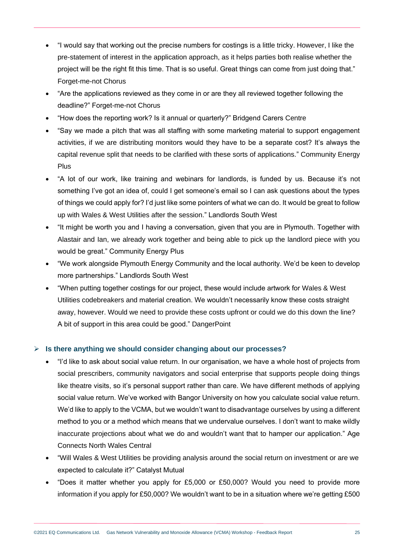- "I would say that working out the precise numbers for costings is a little tricky. However, I like the pre-statement of interest in the application approach, as it helps parties both realise whether the project will be the right fit this time. That is so useful. Great things can come from just doing that." Forget-me-not Chorus
- "Are the applications reviewed as they come in or are they all reviewed together following the deadline?" Forget-me-not Chorus
- "How does the reporting work? Is it annual or quarterly?" Bridgend Carers Centre
- "Say we made a pitch that was all staffing with some marketing material to support engagement activities, if we are distributing monitors would they have to be a separate cost? It's always the capital revenue split that needs to be clarified with these sorts of applications." Community Energy Plus
- "A lot of our work, like training and webinars for landlords, is funded by us. Because it's not something I've got an idea of, could I get someone's email so I can ask questions about the types of things we could apply for? I'd just like some pointers of what we can do. It would be great to follow up with Wales & West Utilities after the session." Landlords South West
- "It might be worth you and I having a conversation, given that you are in Plymouth. Together with Alastair and Ian, we already work together and being able to pick up the landlord piece with you would be great." Community Energy Plus
- "We work alongside Plymouth Energy Community and the local authority. We'd be keen to develop more partnerships." Landlords South West
- "When putting together costings for our project, these would include artwork for Wales & West Utilities codebreakers and material creation. We wouldn't necessarily know these costs straight away, however. Would we need to provide these costs upfront or could we do this down the line? A bit of support in this area could be good." DangerPoint

## ➢ **Is there anything we should consider changing about our processes?**

- "I'd like to ask about social value return. In our organisation, we have a whole host of projects from social prescribers, community navigators and social enterprise that supports people doing things like theatre visits, so it's personal support rather than care. We have different methods of applying social value return. We've worked with Bangor University on how you calculate social value return. We'd like to apply to the VCMA, but we wouldn't want to disadvantage ourselves by using a different method to you or a method which means that we undervalue ourselves. I don't want to make wildly inaccurate projections about what we do and wouldn't want that to hamper our application." Age Connects North Wales Central
- "Will Wales & West Utilities be providing analysis around the social return on investment or are we expected to calculate it?" Catalyst Mutual
- "Does it matter whether you apply for £5,000 or £50,000? Would you need to provide more information if you apply for £50,000? We wouldn't want to be in a situation where we're getting £500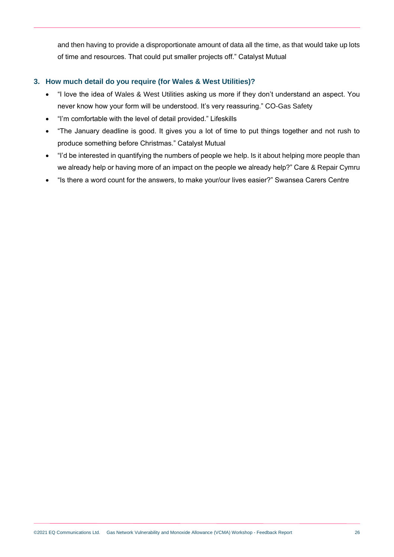and then having to provide a disproportionate amount of data all the time, as that would take up lots of time and resources. That could put smaller projects off." Catalyst Mutual

## **3. How much detail do you require (for Wales & West Utilities)?**

- "I love the idea of Wales & West Utilities asking us more if they don't understand an aspect. You never know how your form will be understood. It's very reassuring." CO-Gas Safety
- "I'm comfortable with the level of detail provided." Lifeskills
- "The January deadline is good. It gives you a lot of time to put things together and not rush to produce something before Christmas." Catalyst Mutual
- "I'd be interested in quantifying the numbers of people we help. Is it about helping more people than we already help or having more of an impact on the people we already help?" Care & Repair Cymru
- "Is there a word count for the answers, to make your/our lives easier?" Swansea Carers Centre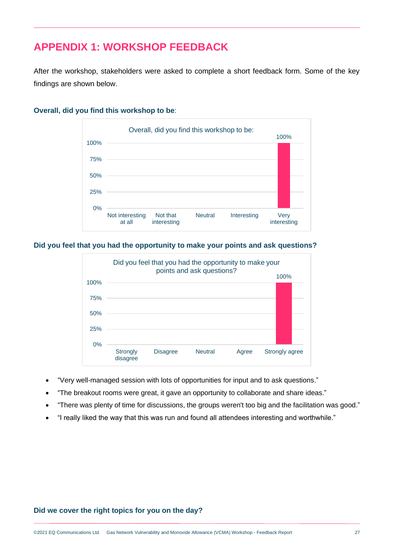# <span id="page-26-0"></span>**APPENDIX 1: WORKSHOP FEEDBACK**

After the workshop, stakeholders were asked to complete a short feedback form. Some of the key findings are shown below.



### **Overall, did you find this workshop to be**:

**Did you feel that you had the opportunity to make your points and ask questions?**



- "Very well-managed session with lots of opportunities for input and to ask questions."
- "The breakout rooms were great, it gave an opportunity to collaborate and share ideas."
- "There was plenty of time for discussions, the groups weren't too big and the facilitation was good."
- "I really liked the way that this was run and found all attendees interesting and worthwhile."

#### **Did we cover the right topics for you on the day?**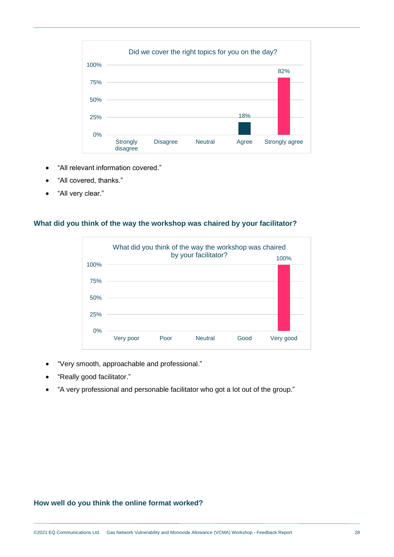| Did we cover the right topics for you on the day? |      |                             |                 |                |       |                |
|---------------------------------------------------|------|-----------------------------|-----------------|----------------|-------|----------------|
|                                                   | 100% |                             |                 |                |       | 82%            |
|                                                   | 75%  |                             |                 |                |       |                |
|                                                   | 50%  |                             |                 |                |       |                |
|                                                   | 25%  |                             |                 |                | 18%   |                |
|                                                   | 0%   |                             |                 |                |       |                |
|                                                   |      | <b>Strongly</b><br>disagree | <b>Disagree</b> | <b>Neutral</b> | Agree | Strongly agree |

- "All relevant information covered."
- "All covered, thanks."
- "All very clear."

### **What did you think of the way the workshop was chaired by your facilitator?**



- "Very smooth, approachable and professional."
- "Really good facilitator."
- "A very professional and personable facilitator who got a lot out of the group."

## **How well do you think the online format worked?**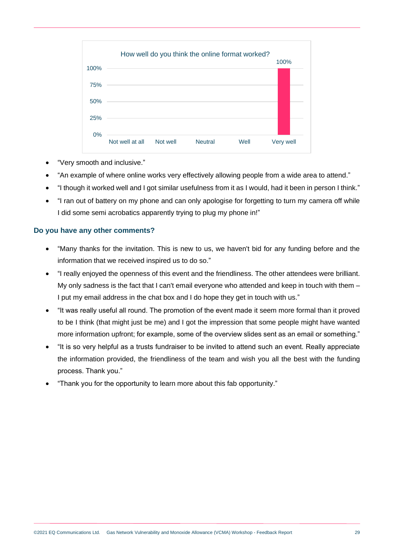|      | How well do you think the online format worked? |          |                |      |           |  |
|------|-------------------------------------------------|----------|----------------|------|-----------|--|
| 100% |                                                 |          |                |      |           |  |
| 75%  |                                                 |          |                |      |           |  |
| 50%  |                                                 |          |                |      |           |  |
| 25%  |                                                 |          |                |      |           |  |
| 0%   | Not well at all                                 | Not well | <b>Neutral</b> | Well | Very well |  |
|      |                                                 |          |                |      |           |  |

- "Very smooth and inclusive."
- "An example of where online works very effectively allowing people from a wide area to attend."
- "I though it worked well and I got similar usefulness from it as I would, had it been in person I think."
- "I ran out of battery on my phone and can only apologise for forgetting to turn my camera off while I did some semi acrobatics apparently trying to plug my phone in!"

#### **Do you have any other comments?**

- "Many thanks for the invitation. This is new to us, we haven't bid for any funding before and the information that we received inspired us to do so."
- "I really enjoyed the openness of this event and the friendliness. The other attendees were brilliant. My only sadness is the fact that I can't email everyone who attended and keep in touch with them -I put my email address in the chat box and I do hope they get in touch with us."
- "It was really useful all round. The promotion of the event made it seem more formal than it proved to be I think (that might just be me) and I got the impression that some people might have wanted more information upfront; for example, some of the overview slides sent as an email or something."
- "It is so very helpful as a trusts fundraiser to be invited to attend such an event. Really appreciate the information provided, the friendliness of the team and wish you all the best with the funding process. Thank you."
- "Thank you for the opportunity to learn more about this fab opportunity."